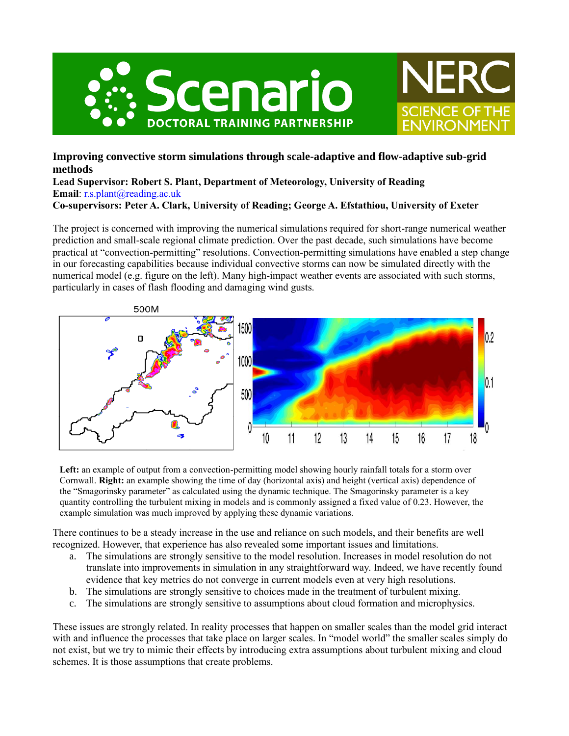



## **Improving convective storm simulations through scale-adaptive and flow-adaptive sub-grid methods**

**Lead Supervisor: Robert S. Plant, Department of Meteorology, University of Reading Email**: [r.s.plant@reading.ac.uk](mailto:r.s.plant@reading.ac.uk)

**Co-supervisors: Peter A. Clark, University of Reading; George A. Efstathiou, University of Exeter**

The project is concerned with improving the numerical simulations required for short-range numerical weather prediction and small-scale regional climate prediction. Over the past decade, such simulations have become practical at "convection-permitting" resolutions. Convection-permitting simulations have enabled a step change in our forecasting capabilities because individual convective storms can now be simulated directly with the numerical model (e.g. figure on the left). Many high-impact weather events are associated with such storms, particularly in cases of flash flooding and damaging wind gusts.



**Left:** an example of output from a convection-permitting model showing hourly rainfall totals for a storm over Cornwall. **Right:** an example showing the time of day (horizontal axis) and height (vertical axis) dependence of the "Smagorinsky parameter" as calculated using the dynamic technique. The Smagorinsky parameter is a key quantity controlling the turbulent mixing in models and is commonly assigned a fixed value of 0.23. However, the example simulation was much improved by applying these dynamic variations.

There continues to be a steady increase in the use and reliance on such models, and their benefits are well recognized. However, that experience has also revealed some important issues and limitations.

- a. The simulations are strongly sensitive to the model resolution. Increases in model resolution do not translate into improvements in simulation in any straightforward way. Indeed, we have recently found evidence that key metrics do not converge in current models even at very high resolutions.
- b. The simulations are strongly sensitive to choices made in the treatment of turbulent mixing.
- c. The simulations are strongly sensitive to assumptions about cloud formation and microphysics.

These issues are strongly related. In reality processes that happen on smaller scales than the model grid interact with and influence the processes that take place on larger scales. In "model world" the smaller scales simply do not exist, but we try to mimic their effects by introducing extra assumptions about turbulent mixing and cloud schemes. It is those assumptions that create problems.